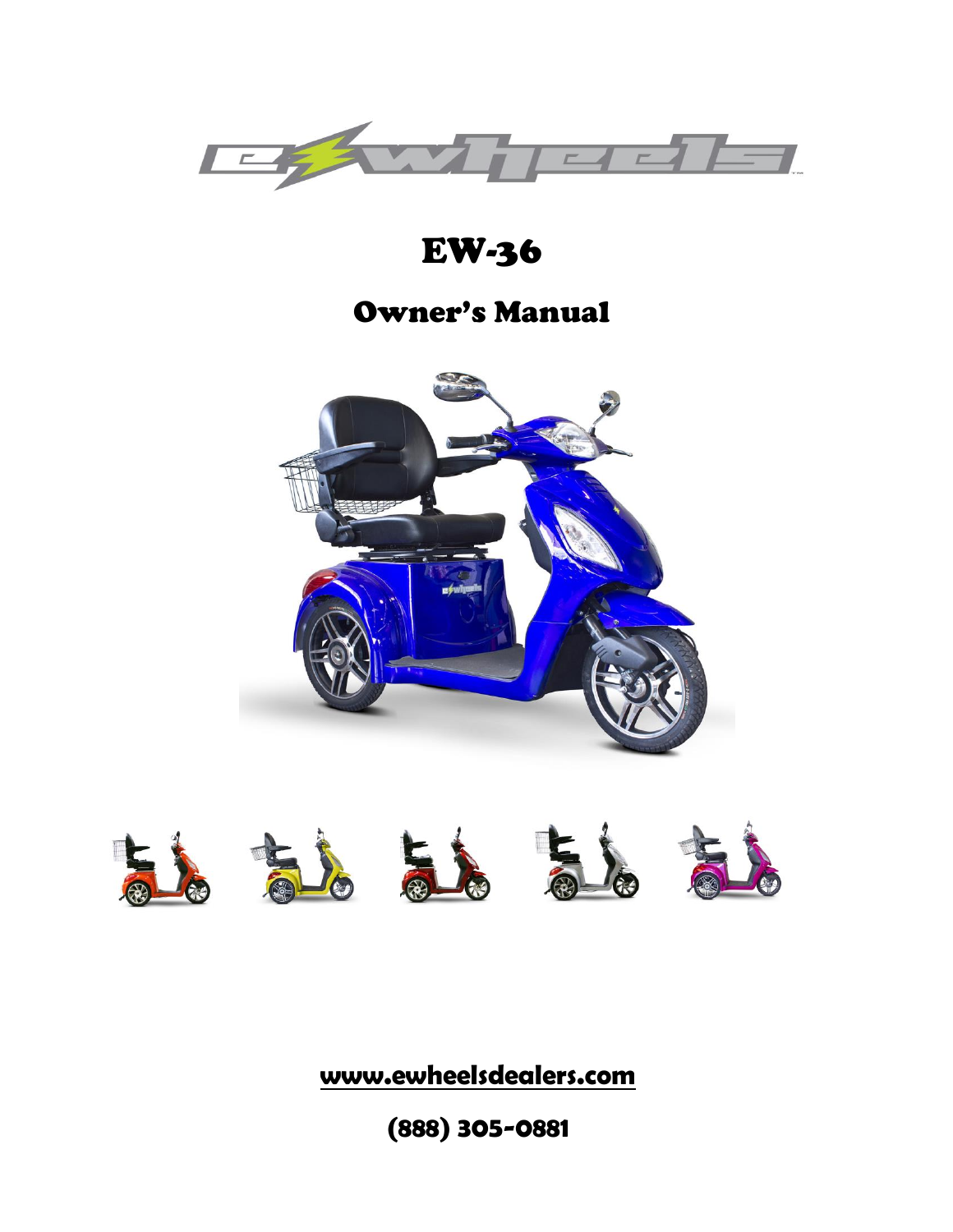

# EW-36

## Owner's Manual





**www.ewheelsdealers.com**

**(888) 305-0881**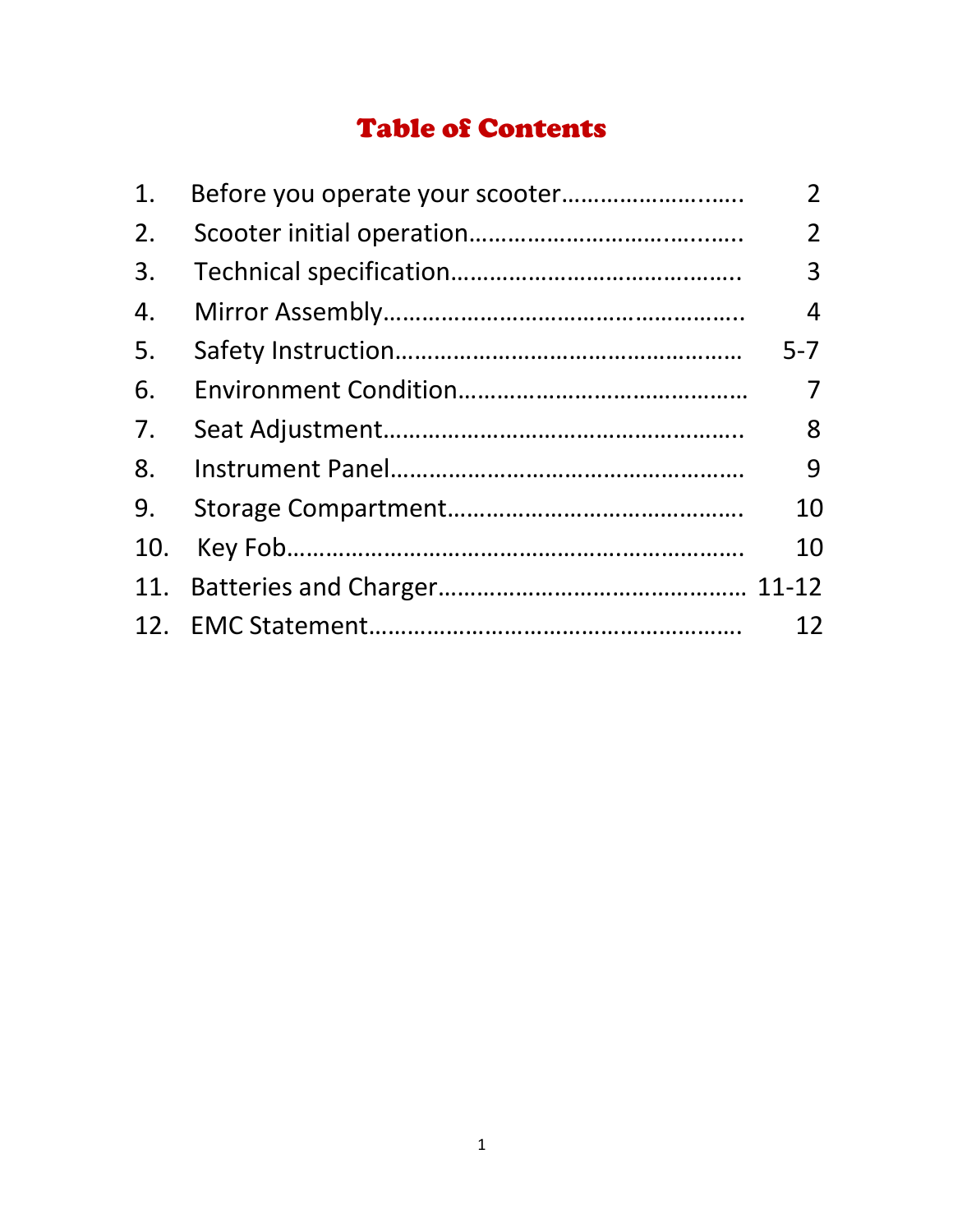## Table of Contents

| 1.  | $\overline{2}$ |
|-----|----------------|
| 2.  | $\overline{2}$ |
| 3.  | 3              |
| 4.  | 4              |
| 5.  | $5 - 7$        |
| 6.  |                |
| 7.  | 8              |
| 8.  | 9              |
| 9.  | 10             |
| 10. | 10             |
| 11. |                |
|     | 12             |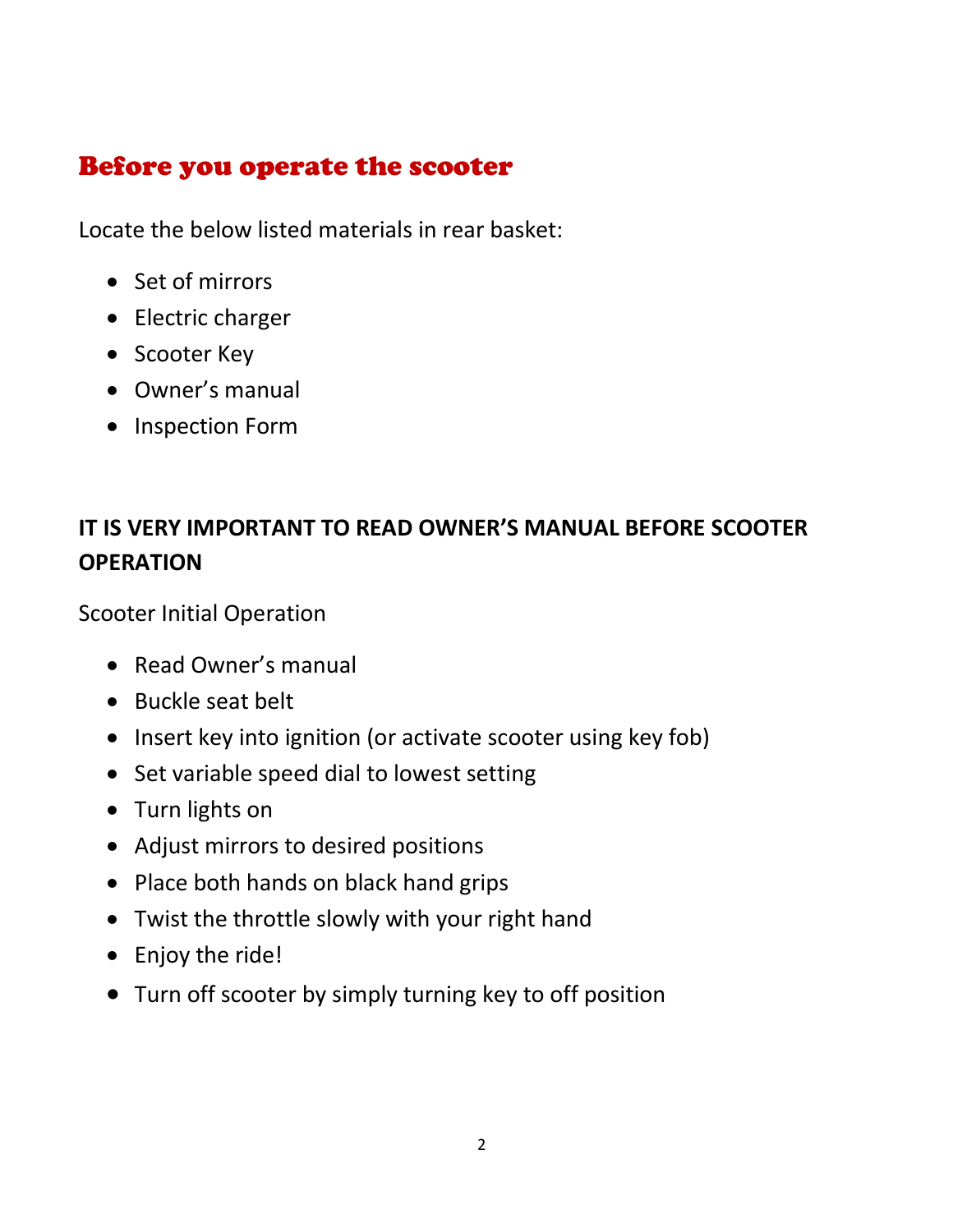## Before you operate the scooter

Locate the below listed materials in rear basket:

- Set of mirrors
- Electric charger
- Scooter Key
- Owner's manual
- Inspection Form

## **IT IS VERY IMPORTANT TO READ OWNER'S MANUAL BEFORE SCOOTER OPERATION**

Scooter Initial Operation

- Read Owner's manual
- Buckle seat belt
- Insert key into ignition (or activate scooter using key fob)
- Set variable speed dial to lowest setting
- Turn lights on
- Adjust mirrors to desired positions
- Place both hands on black hand grips
- Twist the throttle slowly with your right hand
- Enjoy the ride!
- Turn off scooter by simply turning key to off position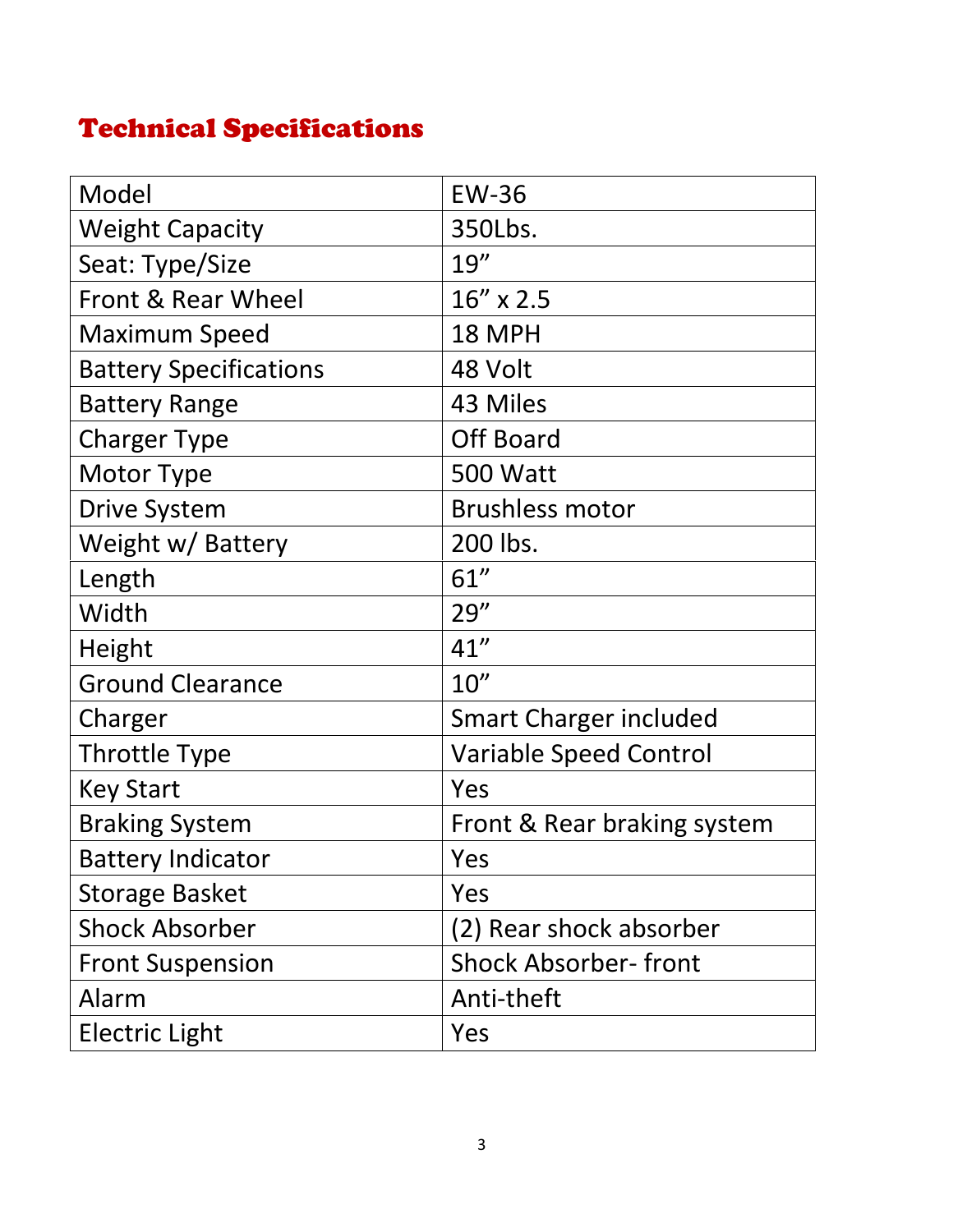# Technical Specifications

| Model                         | <b>EW-36</b>                  |  |
|-------------------------------|-------------------------------|--|
| <b>Weight Capacity</b>        | 350Lbs.                       |  |
| Seat: Type/Size               | 19''                          |  |
| Front & Rear Wheel            | $16'' \times 2.5$             |  |
| <b>Maximum Speed</b>          | 18 MPH                        |  |
| <b>Battery Specifications</b> | 48 Volt                       |  |
| <b>Battery Range</b>          | 43 Miles                      |  |
| <b>Charger Type</b>           | <b>Off Board</b>              |  |
| Motor Type                    | <b>500 Watt</b>               |  |
| <b>Drive System</b>           | <b>Brushless motor</b>        |  |
| Weight w/ Battery             | 200 lbs.                      |  |
| Length                        | 61''                          |  |
| Width                         | 29''                          |  |
| Height                        | 41''                          |  |
| <b>Ground Clearance</b>       | 10''                          |  |
| Charger                       | <b>Smart Charger included</b> |  |
| Throttle Type                 | <b>Variable Speed Control</b> |  |
| <b>Key Start</b>              | Yes                           |  |
| <b>Braking System</b>         | Front & Rear braking system   |  |
| <b>Battery Indicator</b>      | Yes                           |  |
| <b>Storage Basket</b>         | Yes                           |  |
| <b>Shock Absorber</b>         | (2) Rear shock absorber       |  |
| <b>Front Suspension</b>       | <b>Shock Absorber-front</b>   |  |
| Alarm                         | Anti-theft                    |  |
| <b>Electric Light</b>         | Yes                           |  |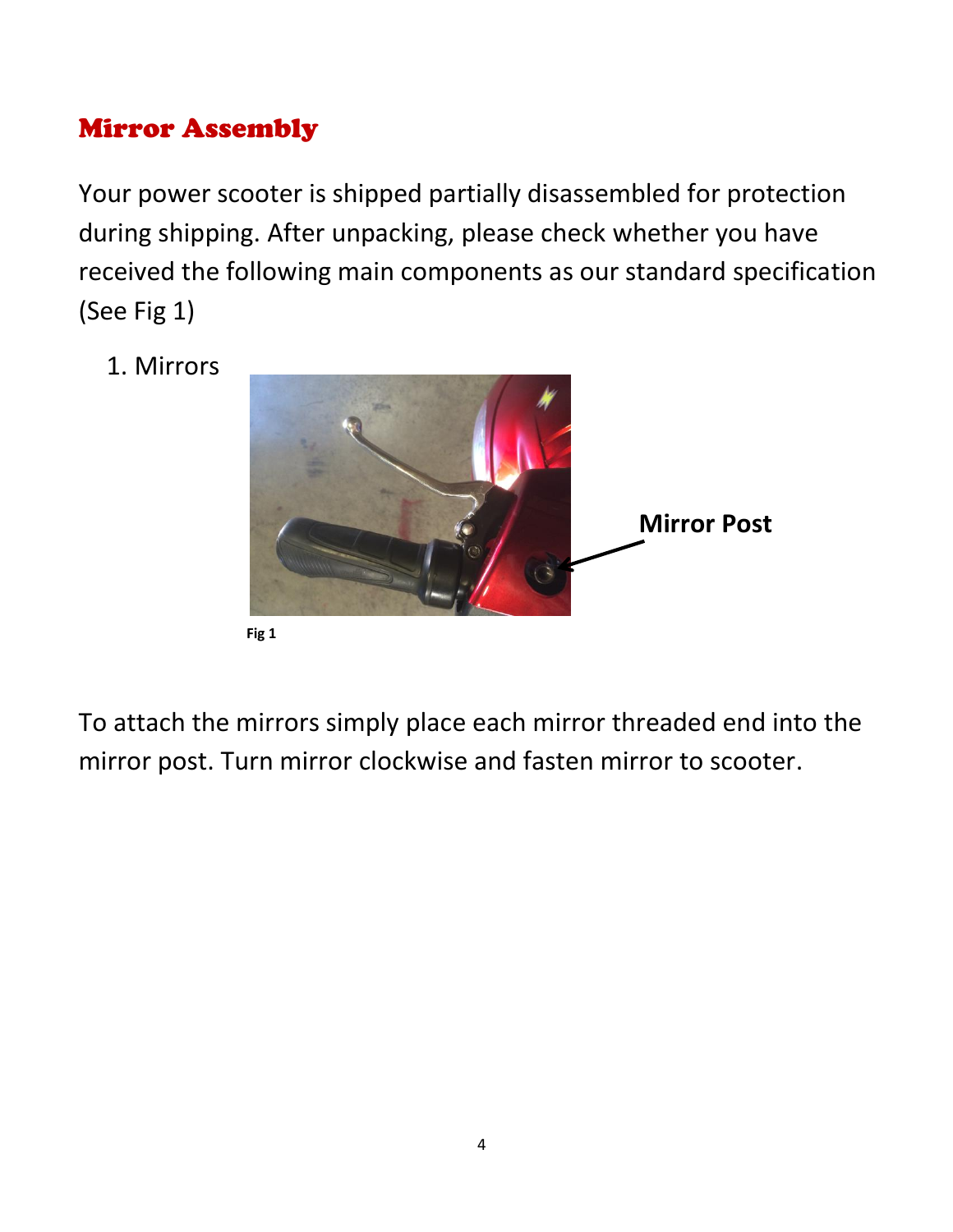## Mirror Assembly

Your power scooter is shipped partially disassembled for protection during shipping. After unpacking, please check whether you have received the following main components as our standard specification (See Fig 1)

1. Mirrors



To attach the mirrors simply place each mirror threaded end into the mirror post. Turn mirror clockwise and fasten mirror to scooter.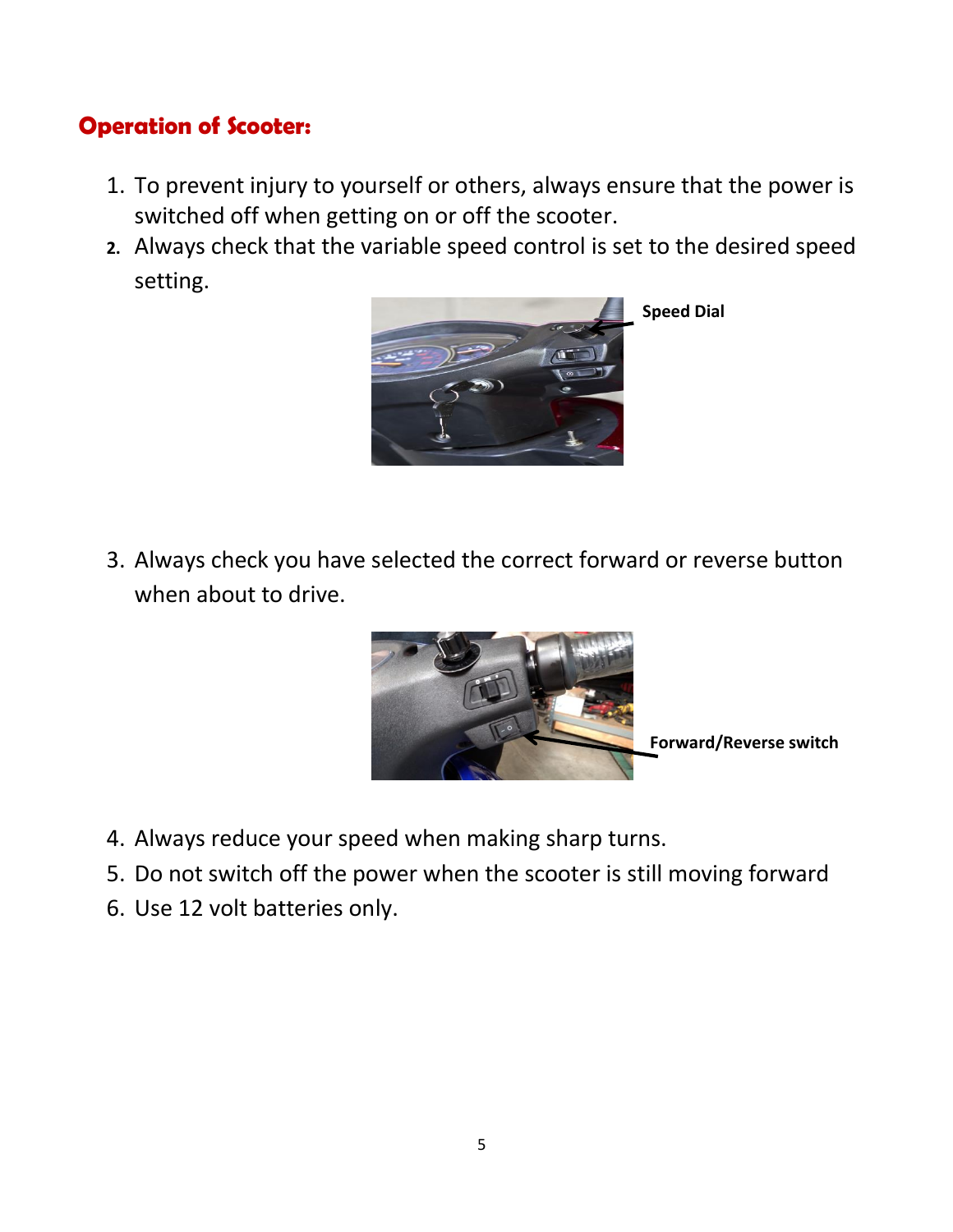#### **Operation of Scooter:**

- 1. To prevent injury to yourself or others, always ensure that the power is switched off when getting on or off the scooter.
- **2.** Always check that the variable speed control is set to the desired speed setting.



3. Always check you have selected the correct forward or reverse button when about to drive.



- 4. Always reduce your speed when making sharp turns.
- 5. Do not switch off the power when the scooter is still moving forward
- 6. Use 12 volt batteries only.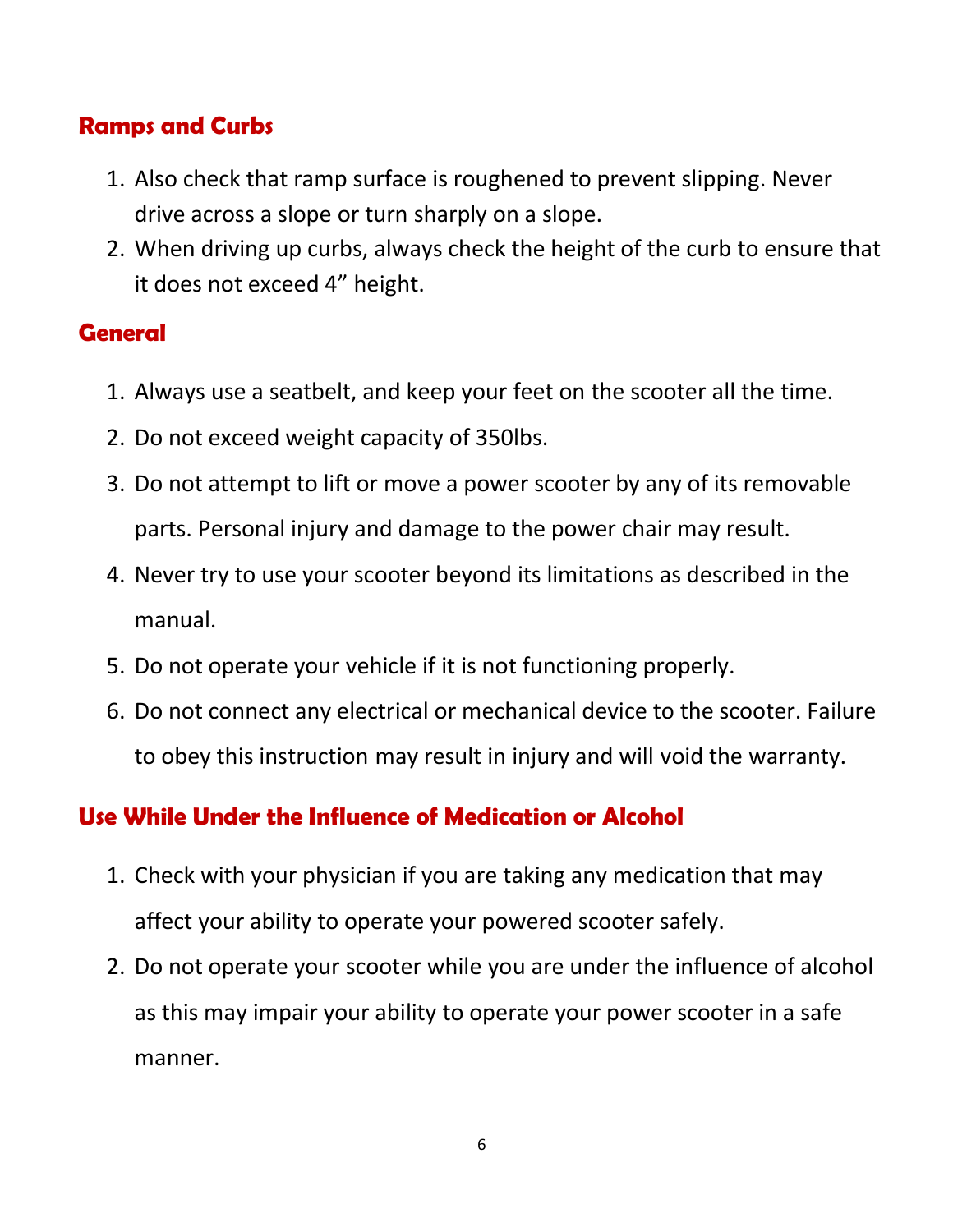### **Ramps and Curbs**

- 1. Also check that ramp surface is roughened to prevent slipping. Never drive across a slope or turn sharply on a slope.
- 2. When driving up curbs, always check the height of the curb to ensure that it does not exceed 4" height.

### **General**

- 1. Always use a seatbelt, and keep your feet on the scooter all the time.
- 2. Do not exceed weight capacity of 350lbs.
- 3. Do not attempt to lift or move a power scooter by any of its removable parts. Personal injury and damage to the power chair may result.
- 4. Never try to use your scooter beyond its limitations as described in the manual.
- 5. Do not operate your vehicle if it is not functioning properly.
- 6. Do not connect any electrical or mechanical device to the scooter. Failure to obey this instruction may result in injury and will void the warranty.

## **Use While Under the Influence of Medication or Alcohol**

- 1. Check with your physician if you are taking any medication that may affect your ability to operate your powered scooter safely.
- 2. Do not operate your scooter while you are under the influence of alcohol as this may impair your ability to operate your power scooter in a safe manner.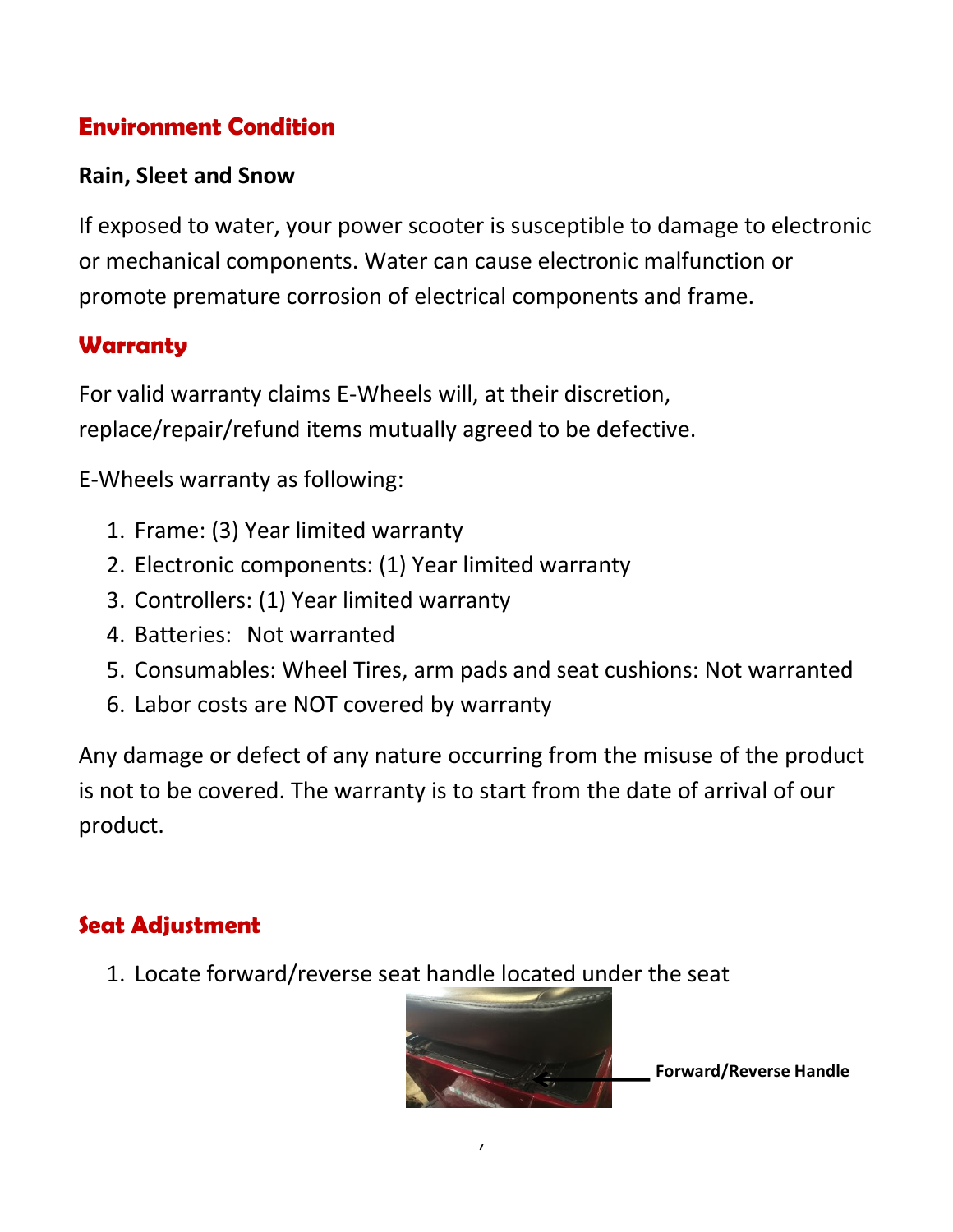## **Environment Condition**

#### **Rain, Sleet and Snow**

If exposed to water, your power scooter is susceptible to damage to electronic or mechanical components. Water can cause electronic malfunction or promote premature corrosion of electrical components and frame.

#### **Warranty**

For valid warranty claims E-Wheels will, at their discretion, replace/repair/refund items mutually agreed to be defective.

E-Wheels warranty as following:

- 1. Frame: (3) Year limited warranty
- 2. Electronic components: (1) Year limited warranty
- 3. Controllers: (1) Year limited warranty
- 4. Batteries: Not warranted
- 5. Consumables: Wheel Tires, arm pads and seat cushions: Not warranted
- 6. Labor costs are NOT covered by warranty

Any damage or defect of any nature occurring from the misuse of the product is not to be covered. The warranty is to start from the date of arrival of our product.

## **Seat Adjustment**

1. Locate forward/reverse seat handle located under the seat



 $\overline{I}$ 

**Forward/Reverse Handle**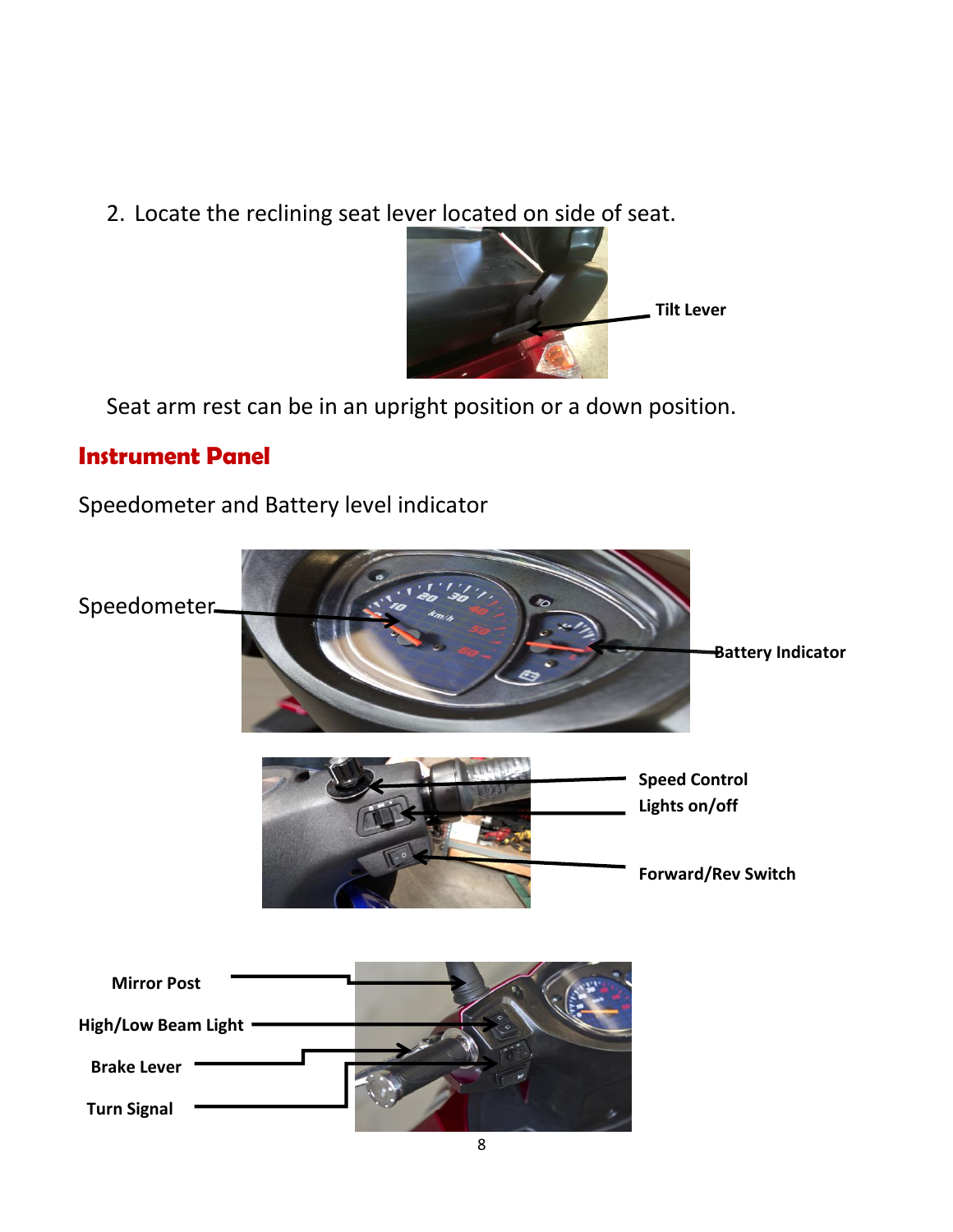2. Locate the reclining seat lever located on side of seat.



Seat arm rest can be in an upright position or a down position.

#### **Instrument Panel**

Speedometer and Battery level indicator

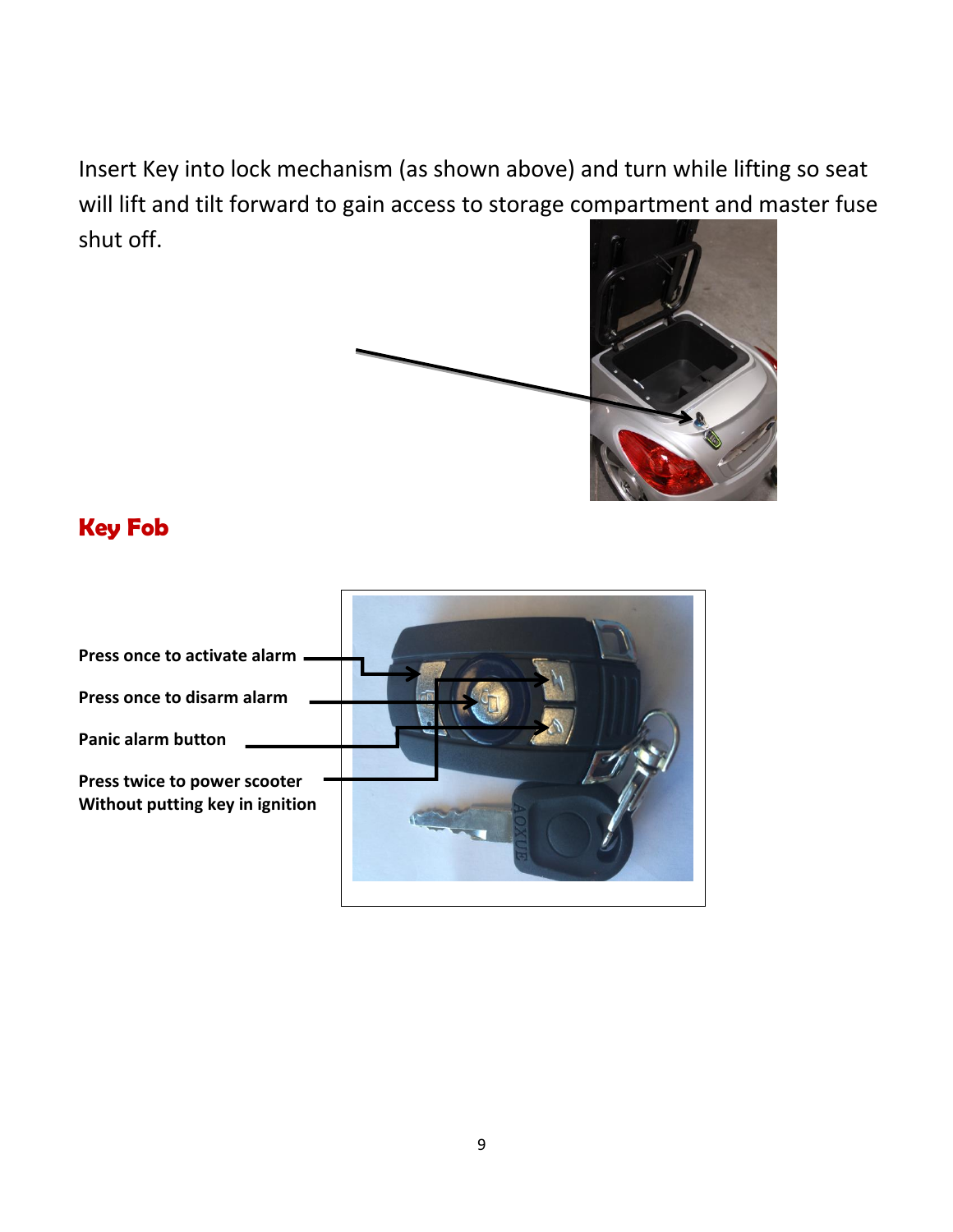Insert Key into lock mechanism (as shown above) and turn while lifting so seat will lift and tilt forward to gain access to storage compartment and master fuse shut off.



#### **Key Fob**

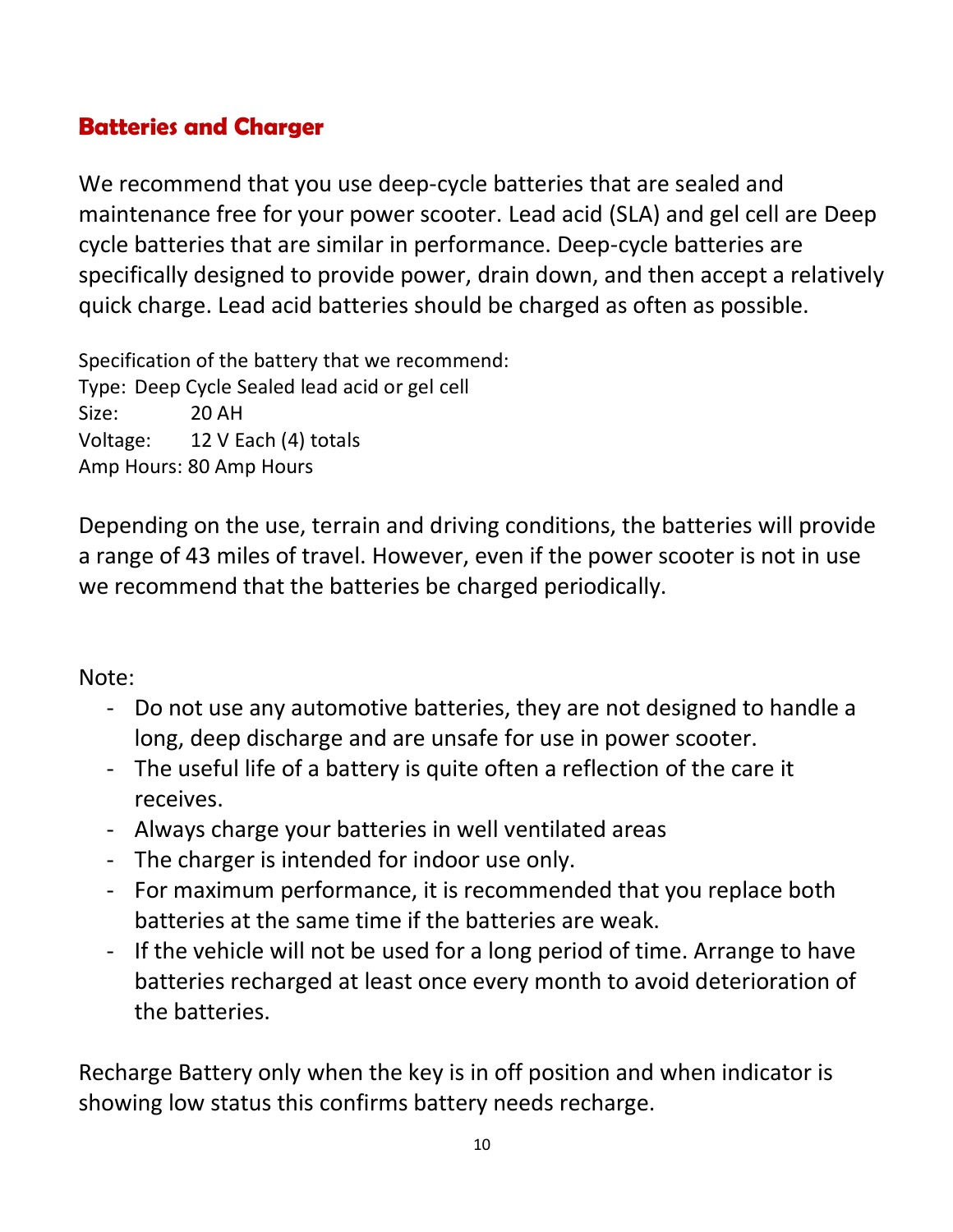#### **Batteries and Charger**

We recommend that you use deep-cycle batteries that are sealed and maintenance free for your power scooter. Lead acid (SLA) and gel cell are Deep cycle batteries that are similar in performance. Deep-cycle batteries are specifically designed to provide power, drain down, and then accept a relatively quick charge. Lead acid batteries should be charged as often as possible.

Specification of the battery that we recommend: Type: Deep Cycle Sealed lead acid or gel cell Size: 20 AH Voltage: 12 V Each (4) totals Amp Hours: 80 Amp Hours

Depending on the use, terrain and driving conditions, the batteries will provide a range of 43 miles of travel. However, even if the power scooter is not in use we recommend that the batteries be charged periodically.

Note:

- Do not use any automotive batteries, they are not designed to handle a long, deep discharge and are unsafe for use in power scooter.
- The useful life of a battery is quite often a reflection of the care it receives.
- Always charge your batteries in well ventilated areas
- The charger is intended for indoor use only.
- For maximum performance, it is recommended that you replace both batteries at the same time if the batteries are weak.
- If the vehicle will not be used for a long period of time. Arrange to have batteries recharged at least once every month to avoid deterioration of the batteries.

Recharge Battery only when the key is in off position and when indicator is showing low status this confirms battery needs recharge.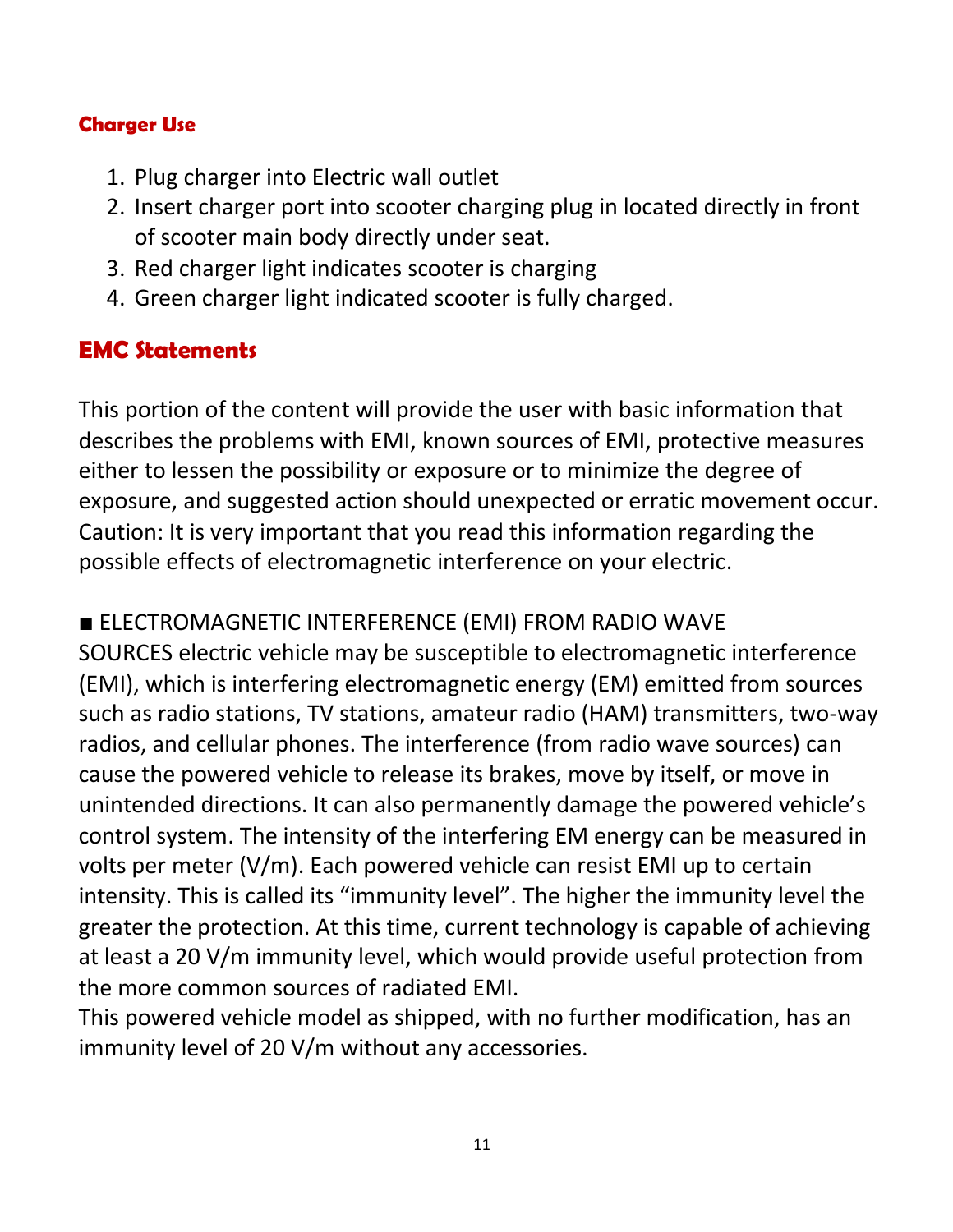#### **Charger Use**

- 1. Plug charger into Electric wall outlet
- 2. Insert charger port into scooter charging plug in located directly in front of scooter main body directly under seat.
- 3. Red charger light indicates scooter is charging
- 4. Green charger light indicated scooter is fully charged.

## **EMC Statements**

This portion of the content will provide the user with basic information that describes the problems with EMI, known sources of EMI, protective measures either to lessen the possibility or exposure or to minimize the degree of exposure, and suggested action should unexpected or erratic movement occur. Caution: It is very important that you read this information regarding the possible effects of electromagnetic interference on your electric.

■ ELECTROMAGNETIC INTERFERENCE (EMI) FROM RADIO WAVE

SOURCES electric vehicle may be susceptible to electromagnetic interference (EMI), which is interfering electromagnetic energy (EM) emitted from sources such as radio stations, TV stations, amateur radio (HAM) transmitters, two-way radios, and cellular phones. The interference (from radio wave sources) can cause the powered vehicle to release its brakes, move by itself, or move in unintended directions. It can also permanently damage the powered vehicle's control system. The intensity of the interfering EM energy can be measured in volts per meter (V/m). Each powered vehicle can resist EMI up to certain intensity. This is called its "immunity level". The higher the immunity level the greater the protection. At this time, current technology is capable of achieving at least a 20 V/m immunity level, which would provide useful protection from the more common sources of radiated EMI.

This powered vehicle model as shipped, with no further modification, has an immunity level of 20 V/m without any accessories.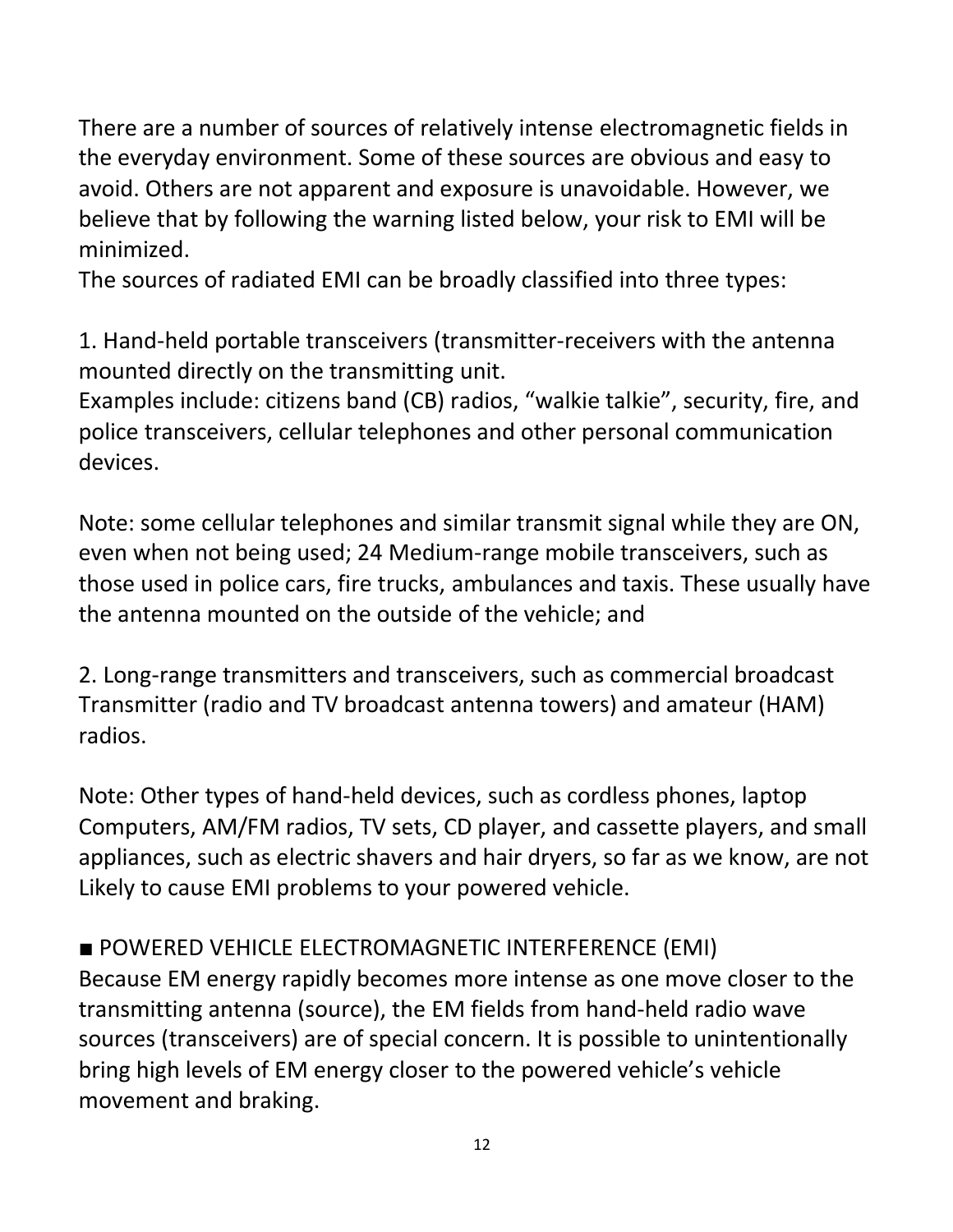There are a number of sources of relatively intense electromagnetic fields in the everyday environment. Some of these sources are obvious and easy to avoid. Others are not apparent and exposure is unavoidable. However, we believe that by following the warning listed below, your risk to EMI will be minimized.

The sources of radiated EMI can be broadly classified into three types:

1. Hand-held portable transceivers (transmitter-receivers with the antenna mounted directly on the transmitting unit.

Examples include: citizens band (CB) radios, "walkie talkie", security, fire, and police transceivers, cellular telephones and other personal communication devices.

Note: some cellular telephones and similar transmit signal while they are ON, even when not being used; 24 Medium-range mobile transceivers, such as those used in police cars, fire trucks, ambulances and taxis. These usually have the antenna mounted on the outside of the vehicle; and

2. Long-range transmitters and transceivers, such as commercial broadcast Transmitter (radio and TV broadcast antenna towers) and amateur (HAM) radios.

Note: Other types of hand-held devices, such as cordless phones, laptop Computers, AM/FM radios, TV sets, CD player, and cassette players, and small appliances, such as electric shavers and hair dryers, so far as we know, are not Likely to cause EMI problems to your powered vehicle.

### ■ POWERED VEHICLE ELECTROMAGNETIC INTERFERENCE (EMI)

Because EM energy rapidly becomes more intense as one move closer to the transmitting antenna (source), the EM fields from hand-held radio wave sources (transceivers) are of special concern. It is possible to unintentionally bring high levels of EM energy closer to the powered vehicle's vehicle movement and braking.